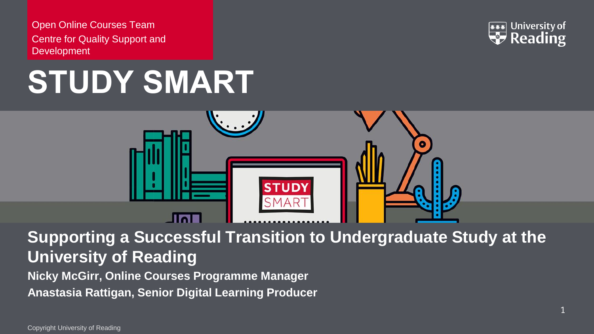Open Online Courses Team Centre for Quality Support and **Development** 







**Supporting a Successful Transition to Undergraduate Study at the University of Reading**

**Nicky McGirr, Online Courses Programme Manager Anastasia Rattigan, Senior Digital Learning Producer**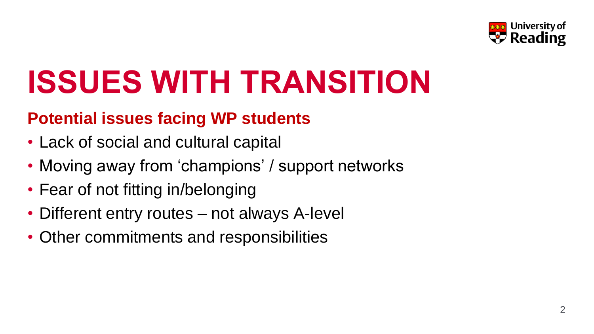

# **ISSUES WITH TRANSITION**

### **Potential issues facing WP students**

- Lack of social and cultural capital
- Moving away from 'champions' / support networks
- Fear of not fitting in/belonging
- Different entry routes not always A-level
- Other commitments and responsibilities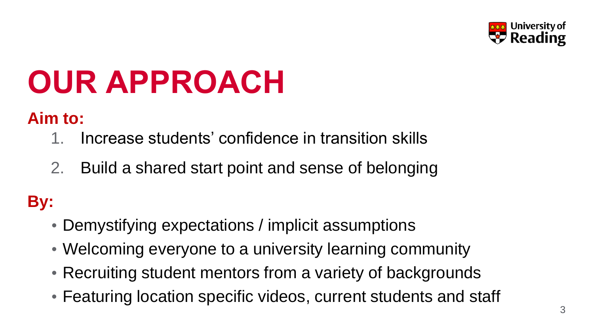

# **OUR APPROACH**

### **Aim to:**

- 1. Increase students' confidence in transition skills
- 2. Build a shared start point and sense of belonging

### **By:**

- Demystifying expectations / implicit assumptions
- Welcoming everyone to a university learning community
- Recruiting student mentors from a variety of backgrounds
- Featuring location specific videos, current students and staff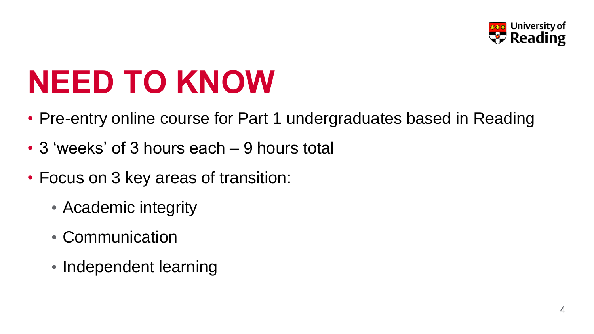

### **NEED TO KNOW**

- Pre-entry online course for Part 1 undergraduates based in Reading
- 3 'weeks' of 3 hours each 9 hours total
- Focus on 3 key areas of transition:
	- Academic integrity
	- Communication
	- Independent learning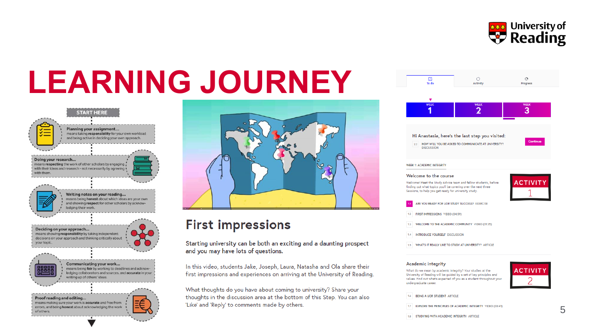

# **LEARNING JOURNEY**





### **First impressions**

Starting university can be both an exciting and a daunting prospect and you may have lots of questions.

In this video, students Jake, Joseph, Laura, Natasha and Ola share their first impressions and experiences on arriving at the University of Reading.

What thoughts do you have about coming to university? Share your thoughts in the discussion area at the bottom of this Step. You can also 'Like' and 'Reply' to comments made by others.



### Academic integrity

What do we mean by academic integrity? Your studies at the University of Reading will be guided by a set of key principles and values. Find out what's expected of you as a student throughout your undergraduate career



1.6 BEING A UOR STUDENT ARTICLE

1.7 EXPLORE THE PRINCIPLES OF ACADEMIC INTEGRITY VIDEO (03:41)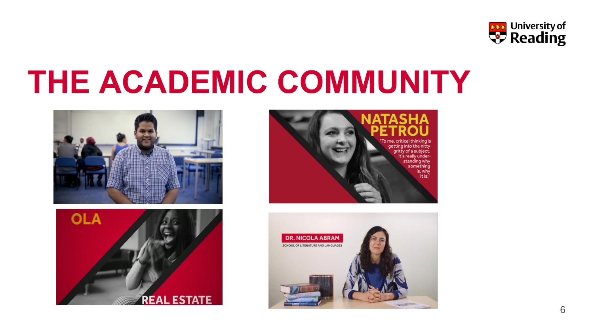

## **THE ACADEMIC COMMUNITY**







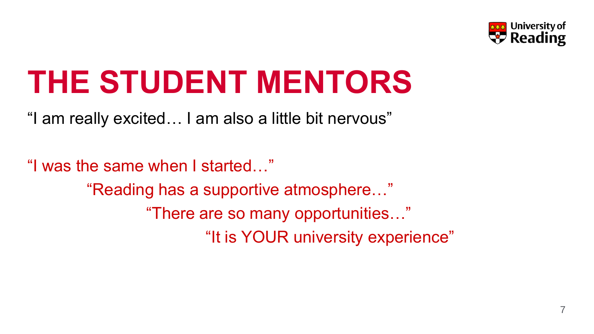

### **THE STUDENT MENTORS**

"I am really excited… I am also a little bit nervous"

"I was the same when I started…" "Reading has a supportive atmosphere…" "There are so many opportunities…" "It is YOUR university experience"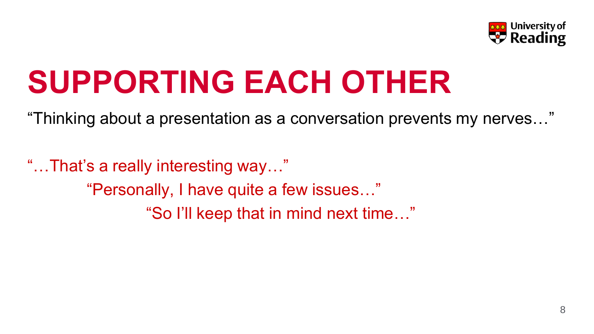

## **SUPPORTING EACH OTHER**

"Thinking about a presentation as a conversation prevents my nerves…"

"…That's a really interesting way…" "Personally, I have quite a few issues…" "So I'll keep that in mind next time…"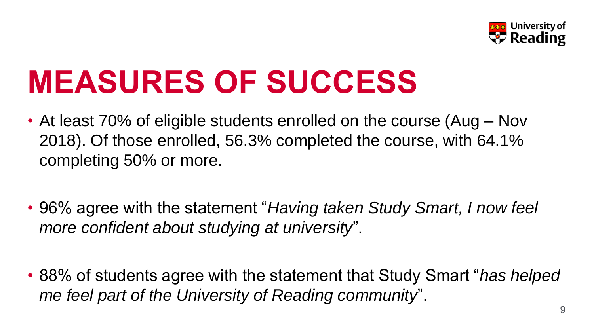

### **MEASURES OF SUCCESS**

- At least 70% of eligible students enrolled on the course (Aug Nov 2018). Of those enrolled, 56.3% completed the course, with 64.1% completing 50% or more.
- 96% agree with the statement "*Having taken Study Smart, I now feel more confident about studying at university*".
- 88% of students agree with the statement that Study Smart "*has helped me feel part of the University of Reading community*".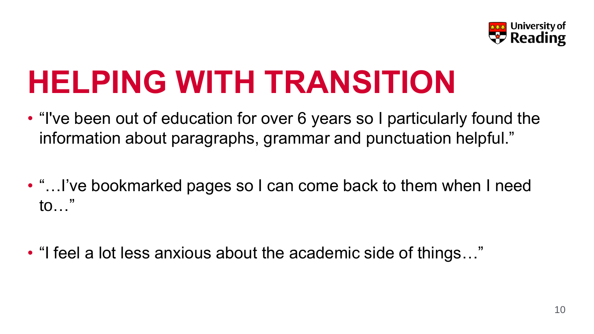

### **HELPING WITH TRANSITION**

- "I've been out of education for over 6 years so I particularly found the information about paragraphs, grammar and punctuation helpful."
- "…I've bookmarked pages so I can come back to them when I need to…"
- "I feel a lot less anxious about the academic side of things…"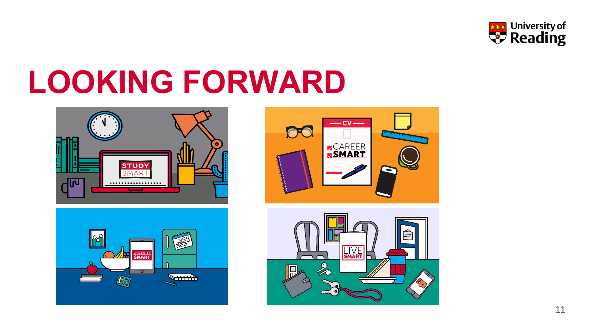

## **LOOKING FORWARD**







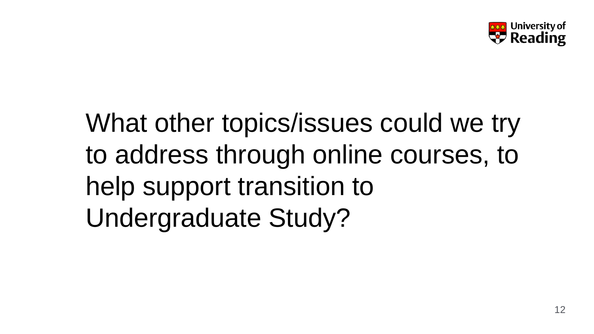

### What other topics/issues could we try to address through online courses, to help support transition to Undergraduate Study?